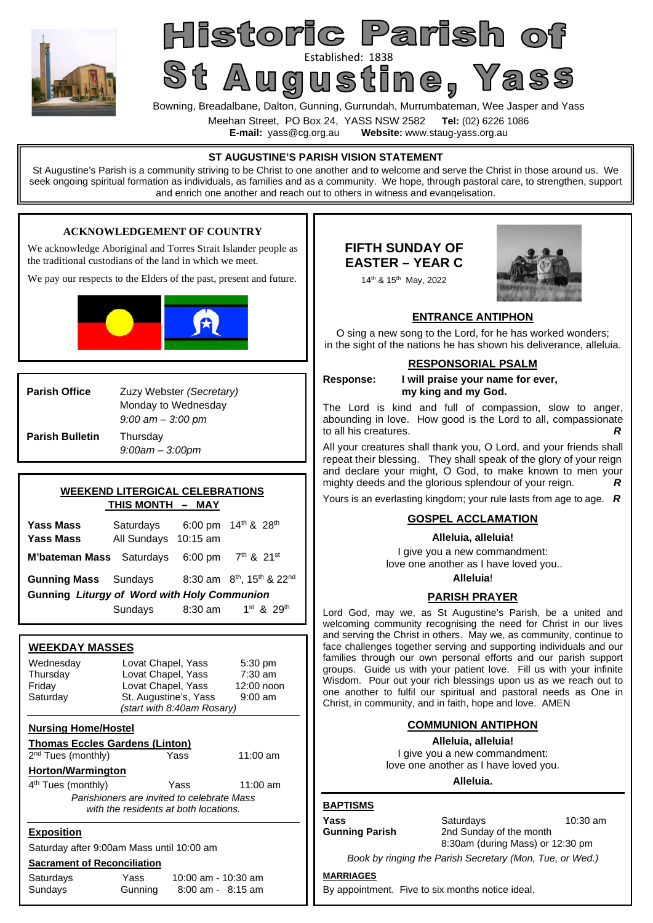

Sundays Gunning 8:00 am - 8:15 am

# Historic Parish of St Augustine Pass

Bowning, Breadalbane, Dalton, Gunning, Gurrundah, Murrumbateman, Wee Jasper and Yass

Meehan Street, PO Box 24, YASS NSW 2582 **Tel:** (02) 6226 1086

**E-mail:** yass@cg.org.au **Website:** www.staug-yass.org.au

**ENTRANCE ANTIPHON** O sing a new song to the Lord, for he has worked wonders; in the sight of the nations he has shown his deliverance, alleluia. **RESPONSORIAL PSALM Response: I will praise your name for ever, my king and my God.**  The Lord is kind and full of compassion, slow to anger, abounding in love. How good is the Lord to all, compassionate to all his creatures. All your creatures shall thank you, O Lord, and your friends shall repeat their blessing. They shall speak of the glory of your reign and declare your might, O God, to make known to men your mighty deeds and the glorious splendour of your reign. *R* Yours is an everlasting kingdom; your rule lasts from age to age. *R* **GOSPEL ACCLAMATION Alleluia, alleluia!**  I give you a new commandment: love one another as I have loved you.. **Alleluia**! **PARISH PRAYER**  Lord God, may we, as St Augustine's Parish, be a united and welcoming community recognising the need for Christ in our lives and serving the Christ in others. May we, as community, continue to face challenges together serving and supporting individuals and our families through our own personal efforts and our parish support groups. Guide us with your patient love. Fill us with your infinite Wisdom. Pour out your rich blessings upon us as we reach out to one another to fulfil our spiritual and pastoral needs as One in Christ, in community, and in faith, hope and love. AMEN **COMMUNION ANTIPHON Alleluia, alleluia!**  I give you a new commandment: love one another as I have loved you. **Alleluia. BAPTISMS Yass** Saturdays 10:30 am **Gunning Parish** 2nd Sunday of the month 8:30am (during Mass) or 12:30 pm *Book by ringing the Parish Secretary (Mon, Tue, or Wed.)*  **MARRIAGES ST AUGUSTINE'S PARISH VISION STATEMENT**  St Augustine's Parish is a community striving to be Christ to one another and to welcome and serve the Christ in those around us. We seek ongoing spiritual formation as individuals, as families and as a community. We hope, through pastoral care, to strengthen, support and enrich one another and reach out to others in witness and evangelisation. **Parish Office** Zuzy Webster *(Secretary)* Monday to Wednesday *9:00 am – 3:00 pm*  **Parish Bulletin** Thursday *9:00am – 3:00pm* **WEEKDAY MASSES**  Wednesday Lovat Chapel, Yass 5:30 pm Thursday Lovat Chapel, Yass 7:30 am Friday Lovat Chapel, Yass 12:00 noon Saturday St. Augustine's, Yass 9:00 am *(start with 8:40am Rosary)*  **Nursing Home/Hostel Thomas Eccles Gardens (Linton)**  2<sup>nd</sup> Tues (monthly) **The State Control** Yass 11:00 am **Horton/Warmington**  4 th Tues (monthly) Yass 11:00 am *Parishioners are invited to celebrate Mass with the residents at both locations.*  **Exposition**  Saturday after 9:00am Mass until 10:00 am **Sacrament of Reconciliation**  Saturdays Yass 10:00 am - 10:30 am **WEEKEND LITERGICAL CELEBRATIONS THIS MONTH – MAY Yass Mass** Saturdays 6:00 pm  $14<sup>th</sup>$  & 28<sup>th</sup> **Yass Mass** All Sundays 10:15 am **M'bateman Mass** Saturdays 6:00 pm 7<sup>th</sup> & 21<sup>st</sup> **Gunning Mass** Sundays 8:30 am  $8^{th}$ , 15<sup>th</sup> & 22<sup>nd</sup> **Gunning** *Liturgy of Word with Holy Communion*  Sundays  $8:30$  am  $1^{st}$  &  $29^{th}$ **FIFTH SUNDAY OF EASTER – YEAR C**  14th & 15th May, 2022 **ACKNOWLEDGEMENT OF COUNTRY**  We acknowledge Aboriginal and Torres Strait Islander people as the traditional custodians of the land in which we meet. We pay our respects to the Elders of the past, present and future.

By appointment. Five to six months notice ideal.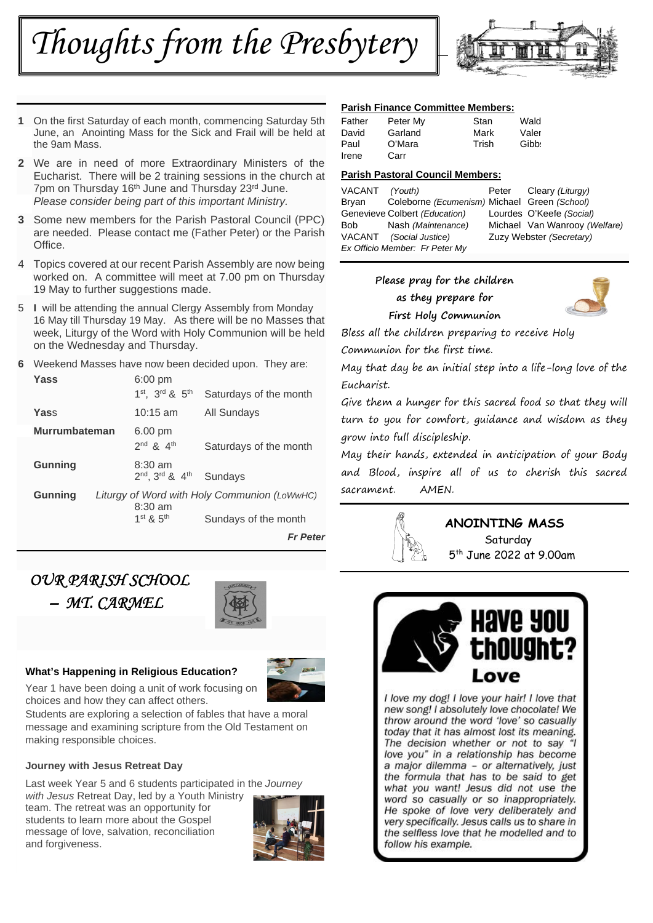*Thoughts from the Presbytery* 



- **1** On the first Saturday of each month, commencing Saturday 5th June, an Anointing Mass for the Sick and Frail will be held at the 9am Mass.
- **2** We are in need of more Extraordinary Ministers of the Eucharist. There will be 2 training sessions in the church at 7pm on Thursday 16<sup>th</sup> June and Thursday 23<sup>rd</sup> June. *Please consider being part of this important Ministry.*
- **3** Some new members for the Parish Pastoral Council (PPC) are needed. Please contact me (Father Peter) or the Parish **Office**
- 4 Topics covered at our recent Parish Assembly are now being worked on. A committee will meet at 7.00 pm on Thursday 19 May to further suggestions made.
- 5 **I** will be attending the annual Clergy Assembly from Monday 16 May till Thursday 19 May. As there will be no Masses that week, Liturgy of the Word with Holy Communion will be held on the Wednesday and Thursday.
- **6** Weekend Masses have now been decided upon. They are:

| Yass                 | $6:00 \text{ pm}$<br>1 <sup>st</sup> , 3 <sup>rd</sup> & 5 <sup>th</sup>                                               | Saturdays of the month |
|----------------------|------------------------------------------------------------------------------------------------------------------------|------------------------|
| Yass                 | $10:15$ am                                                                                                             | All Sundays            |
| <b>Murrumbateman</b> | $6.00 \text{ pm}$<br>$2^{nd}$ $8$ $4^{th}$                                                                             | Saturdays of the month |
| <b>Gunning</b>       | $8:30 \text{ am}$<br>2nd, 3rd & 4th                                                                                    | Sundays                |
| <b>Gunning</b>       | Liturgy of Word with Holy Communion (LoWwHC)<br>$8:30 \text{ am}$<br>$1st$ $\mathcal{R}$ $5th$<br>Sundays of the month |                        |
|                      |                                                                                                                        | Fr Peter               |

## *OUR PARISH SCHOOL – MT. CARMEL*



#### **What's Happening in Religious Education?**

choices and how they can affect others.



Students are exploring a selection of fables that have a moral message and examining scripture from the Old Testament on making responsible choices.

#### **Journey with Jesus Retreat Day**

Last week Year 5 and 6 students participated in the *Journey* 

*with Jesus* Retreat Day, led by a Youth Ministry team. The retreat was an opportunity for students to learn more about the Gospel message of love, salvation, reconciliation and forgiveness.



#### **Parish Finance Committee Members:**

| Father | Peter My | Stan  | Wald  |
|--------|----------|-------|-------|
| David  | Garland  | Mark  | Valer |
| Paul   | O'Mara   | Trish | Gibbs |
| Irene  | Carr     |       |       |

#### **Parish Pastoral Council Members:**

| VACANT (Youth)                 |                                              |  | Peter Cleary (Liturgy)        |  |  |
|--------------------------------|----------------------------------------------|--|-------------------------------|--|--|
| Bryan                          | Coleborne (Ecumenism) Michael Green (School) |  |                               |  |  |
|                                | Genevieve Colbert (Education)                |  | Lourdes O'Keefe (Social)      |  |  |
| Bob                            | Nash (Maintenance)                           |  | Michael Van Wanrooy (Welfare) |  |  |
|                                | VACANT (Social Justice)                      |  | Zuzy Webster (Secretary)      |  |  |
| Ex Officio Member: Fr Peter My |                                              |  |                               |  |  |

#### **Please pray for the children as they prepare for First Holy Communion**



Bless all the children preparing to receive Holy Communion for the first time.

May that day be an initial step into a life-long love of the Eucharist.

Give them a hunger for this sacred food so that they will turn to you for comfort, guidance and wisdom as they grow into full discipleship.

May their hands, extended in anticipation of your Body and Blood, inspire all of us to cherish this sacred sacrament. AMEN.



#### **ANOINTING MASS Saturday**

5 th June 2022 at 9.00am



I love my dog! I love your hair! I love that new song! I absolutely love chocolate! We throw around the word 'love' so casually today that it has almost lost its meaning. The decision whether or not to say "I love you" in a relationship has become a major dilemma - or alternatively, just the formula that has to be said to get what you want! Jesus did not use the word so casually or so inappropriately. He spoke of love very deliberately and very specifically. Jesus calls us to share in the selfless love that he modelled and to follow his example.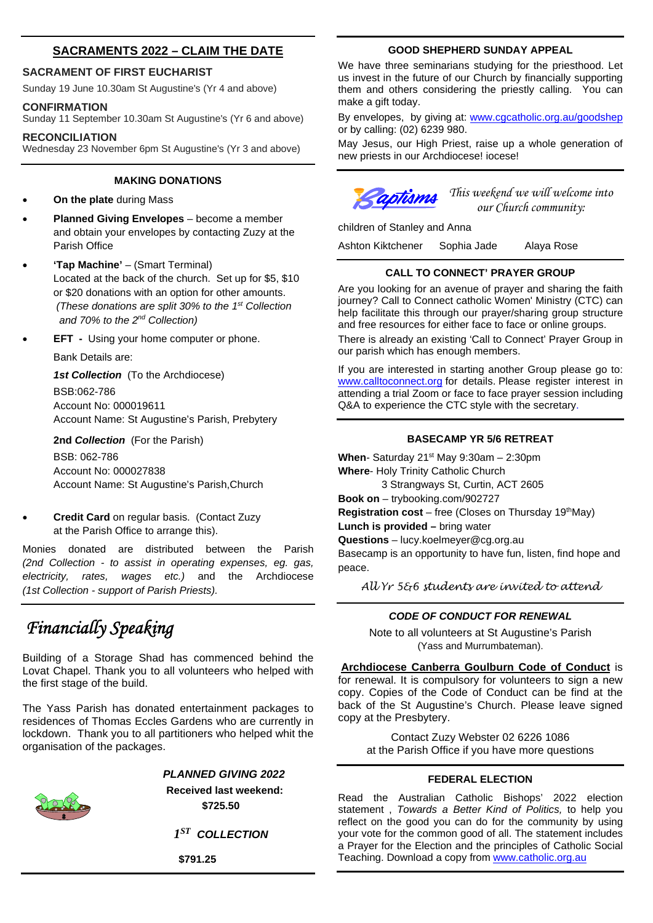#### **SACRAMENTS 2022 – CLAIM THE DATE**

#### **SACRAMENT OF FIRST EUCHARIST**

Sunday 19 June 10.30am St Augustine's (Yr 4 and above)

#### **CONFIRMATION**

Sunday 11 September 10.30am St Augustine's (Yr 6 and above)

#### **RECONCILIATION**

Wednesday 23 November 6pm St Augustine's (Yr 3 and above)

#### **MAKING DONATIONS**

- **On the plate** during Mass
- **Planned Giving Envelopes** become a member and obtain your envelopes by contacting Zuzy at the Parish Office
- **'Tap Machine'** (Smart Terminal) Located at the back of the church. Set up for \$5, \$10 or \$20 donations with an option for other amounts. *(These donations are split 30% to the 1st Collection and 70% to the 2nd Collection)*
- **EFT** Using your home computer or phone.

Bank Details are:

*1st Collection* (To the Archdiocese) BSB:062-786 Account No: 000019611 Account Name: St Augustine's Parish, Prebytery

**2nd** *Collection* (For the Parish)

BSB: 062-786 Account No: 000027838 Account Name: St Augustine's Parish,Church

 **Credit Card** on regular basis. (Contact Zuzy at the Parish Office to arrange this).

Monies donated are distributed between the Parish *(2nd Collection - to assist in operating expenses, eg. gas, electricity, rates, wages etc.)* and the Archdiocese *(1st Collection - support of Parish Priests).*

# *Financially Speaking*

Building of a Storage Shad has commenced behind the Lovat Chapel. Thank you to all volunteers who helped with the first stage of the build.

The Yass Parish has donated entertainment packages to residences of Thomas Eccles Gardens who are currently in lockdown. Thank you to all partitioners who helped whit the organisation of the packages.

#### *PLANNED GIVING 2022*

**Received last weekend: \$725.50**

*1 ST COLLECTION* 

 **\$791.25** 

#### **GOOD SHEPHERD SUNDAY APPEAL**

We have three seminarians studying for the priesthood. Let us invest in the future of our Church by financially supporting them and others considering the priestly calling. You can make a gift today.

By envelopes, by giving at: www.cgcatholic.org.au/goodshep or by calling: (02) 6239 980.

May Jesus, our High Priest, raise up a whole generation of new priests in our Archdiocese! iocese!

children of Stanley and Anna

*Captisms* This weekend we will welcome into  *our Church community:* 

Ashton Kiktchener Sophia Jade Alaya Rose

#### **CALL TO CONNECT' PRAYER GROUP**

Are you looking for an avenue of prayer and sharing the faith journey? Call to Connect catholic Women' Ministry (CTC) can help facilitate this through our prayer/sharing group structure and free resources for either face to face or online groups. There is already an existing 'Call to Connect' Prayer Group in our parish which has enough members.

If you are interested in starting another Group please go to: www.calltoconnect.org for details. Please register interest in attending a trial Zoom or face to face prayer session including Q&A to experience the CTC style with the secretary.

#### **BASECAMP YR 5/6 RETREAT**

When- Saturday 21<sup>st</sup> May 9:30am - 2:30pm **Where**- Holy Trinity Catholic Church 3 Strangways St, Curtin, ACT 2605

**Book on** – trybooking.com/902727

**Registration cost** – free (Closes on Thursday 19<sup>th</sup>May)

**Lunch is provided –** bring water

**Questions** – lucy.koelmeyer@cg.org.au

Basecamp is an opportunity to have fun, listen, find hope and peace.

*All Yr 5&6 students are invited to attend* 

#### *CODE OF CONDUCT FOR RENEWAL*

Note to all volunteers at St Augustine's Parish (Yass and Murrumbateman).

**Archdiocese Canberra Goulburn Code of Conduct** is for renewal. It is compulsory for volunteers to sign a new copy. Copies of the Code of Conduct can be find at the back of the St Augustine's Church. Please leave signed copy at the Presbytery.

Contact Zuzy Webster 02 6226 1086 at the Parish Office if you have more questions

#### **FEDERAL ELECTION**

Read the Australian Catholic Bishops' 2022 election statement , *Towards a Better Kind of Politics,* to help you reflect on the good you can do for the community by using your vote for the common good of all. The statement includes a Prayer for the Election and the principles of Catholic Social Teaching. Download a copy from www.catholic.org.au